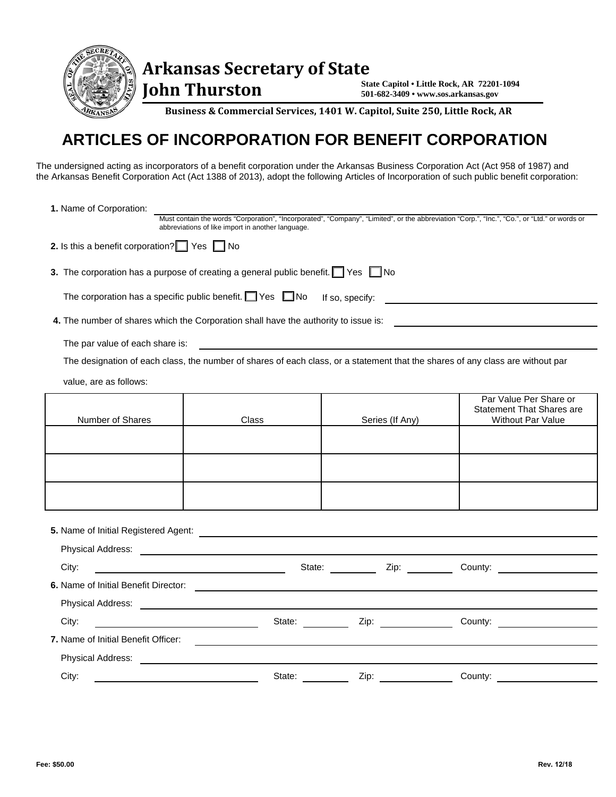

**Arkansas Secretary of State**

 **John Thurston** 

**State Capitol • Little Rock, AR 72201-1094 501-682-3409 • www.sos.arkansas.gov**

**Business & Commercial Services, 1401 W. Capitol, Suite 250, Little Rock, AR** 

## **ARTICLES OF INCORPORATION FOR BENEFIT CORPORATION**

The undersigned acting as incorporators of a benefit corporation under the Arkansas Business Corporation Act (Act 958 of 1987) and the Arkansas Benefit Corporation Act (Act 1388 of 2013), adopt the following Articles of Incorporation of such public benefit corporation:

| 1. Name of Corporation:                                                                                                                                                                                                              |                                                       |                  |                                                                                                                                                                                                                               |  |
|--------------------------------------------------------------------------------------------------------------------------------------------------------------------------------------------------------------------------------------|-------------------------------------------------------|------------------|-------------------------------------------------------------------------------------------------------------------------------------------------------------------------------------------------------------------------------|--|
|                                                                                                                                                                                                                                      | abbreviations of like import in another language.     |                  | Must contain the words "Corporation", "Incorporated", "Company", "Limited", or the abbreviation "Corp.", "Inc.", "Co.", or "Ltd." or words or                                                                                 |  |
| 2. Is this a benefit corporation? $\Box$ Yes $\Box$ No                                                                                                                                                                               |                                                       |                  |                                                                                                                                                                                                                               |  |
| 3. The corporation has a purpose of creating a general public benefit. $\Box$ Yes $\Box$ No                                                                                                                                          |                                                       |                  |                                                                                                                                                                                                                               |  |
| The corporation has a specific public benefit. $\Box$ Yes $\Box$ No                                                                                                                                                                  |                                                       | If so, specify:  |                                                                                                                                                                                                                               |  |
| 4. The number of shares which the Corporation shall have the authority to issue is:                                                                                                                                                  |                                                       |                  |                                                                                                                                                                                                                               |  |
| The par value of each share is:                                                                                                                                                                                                      | <u> 1980 - Jan Stein Berlin, amerikan berlindar (</u> |                  |                                                                                                                                                                                                                               |  |
| The designation of each class, the number of shares of each class, or a statement that the shares of any class are without par                                                                                                       |                                                       |                  |                                                                                                                                                                                                                               |  |
| value, are as follows:                                                                                                                                                                                                               |                                                       |                  |                                                                                                                                                                                                                               |  |
| Number of Shares                                                                                                                                                                                                                     | Class                                                 | Series (If Any)  | Par Value Per Share or<br><b>Statement That Shares are</b><br><b>Without Par Value</b>                                                                                                                                        |  |
|                                                                                                                                                                                                                                      |                                                       |                  |                                                                                                                                                                                                                               |  |
|                                                                                                                                                                                                                                      |                                                       |                  |                                                                                                                                                                                                                               |  |
|                                                                                                                                                                                                                                      |                                                       |                  |                                                                                                                                                                                                                               |  |
| 5. Name of Initial Registered Agent: <u>compare and the set of the set of the set of the set of the set of the set of the set of the set of the set of the set of the set of the set of the set of the set of the set of the set</u> |                                                       |                  |                                                                                                                                                                                                                               |  |
| Physical Address: No. 2020 No. 2020 No. 2020 No. 2020 No. 2020 No. 2020 No. 2020 No. 2020 No. 2020 No. 2020 No                                                                                                                       |                                                       |                  |                                                                                                                                                                                                                               |  |
| City:                                                                                                                                                                                                                                |                                                       | State: Zip:      | County:                                                                                                                                                                                                                       |  |
| 6. Name of Initial Benefit Director: \\contact \\contact \\contact \\contact \\contact \\contact \\contact \\contact \\contact \\contact \\contact \\contact \\contact \\contact \\contact \\contact \\contact \\contact \\con       |                                                       |                  |                                                                                                                                                                                                                               |  |
|                                                                                                                                                                                                                                      |                                                       |                  |                                                                                                                                                                                                                               |  |
| City:                                                                                                                                                                                                                                |                                                       | State: Zip: Zip: | County: the country of the country of the country of the country of the country of the country of the country of the country of the country of the country of the country of the country of the country of the country of the |  |
| 7. Name of Initial Benefit Officer:                                                                                                                                                                                                  |                                                       |                  |                                                                                                                                                                                                                               |  |
| <b>Physical Address:</b>                                                                                                                                                                                                             |                                                       |                  |                                                                                                                                                                                                                               |  |
| City:                                                                                                                                                                                                                                | State:                                                | Zip:             | County:                                                                                                                                                                                                                       |  |